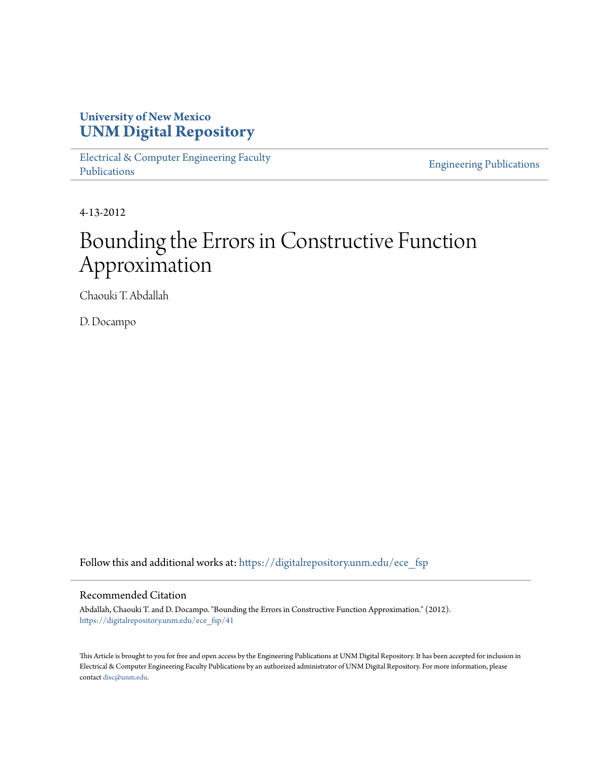## **University of New Mexico [UNM Digital Repository](https://digitalrepository.unm.edu?utm_source=digitalrepository.unm.edu%2Fece_fsp%2F41&utm_medium=PDF&utm_campaign=PDFCoverPages)**

[Electrical & Computer Engineering Faculty](https://digitalrepository.unm.edu/ece_fsp?utm_source=digitalrepository.unm.edu%2Fece_fsp%2F41&utm_medium=PDF&utm_campaign=PDFCoverPages) [Publications](https://digitalrepository.unm.edu/ece_fsp?utm_source=digitalrepository.unm.edu%2Fece_fsp%2F41&utm_medium=PDF&utm_campaign=PDFCoverPages)

[Engineering Publications](https://digitalrepository.unm.edu/eng_fsp?utm_source=digitalrepository.unm.edu%2Fece_fsp%2F41&utm_medium=PDF&utm_campaign=PDFCoverPages)

4-13-2012

# Bounding the Errors in Constructive Function Approximation

Chaouki T. Abdallah

D. Docampo

Follow this and additional works at: [https://digitalrepository.unm.edu/ece\\_fsp](https://digitalrepository.unm.edu/ece_fsp?utm_source=digitalrepository.unm.edu%2Fece_fsp%2F41&utm_medium=PDF&utm_campaign=PDFCoverPages)

## Recommended Citation

Abdallah, Chaouki T. and D. Docampo. "Bounding the Errors in Constructive Function Approximation." (2012). [https://digitalrepository.unm.edu/ece\\_fsp/41](https://digitalrepository.unm.edu/ece_fsp/41?utm_source=digitalrepository.unm.edu%2Fece_fsp%2F41&utm_medium=PDF&utm_campaign=PDFCoverPages)

This Article is brought to you for free and open access by the Engineering Publications at UNM Digital Repository. It has been accepted for inclusion in Electrical & Computer Engineering Faculty Publications by an authorized administrator of UNM Digital Repository. For more information, please contact [disc@unm.edu.](mailto:disc@unm.edu)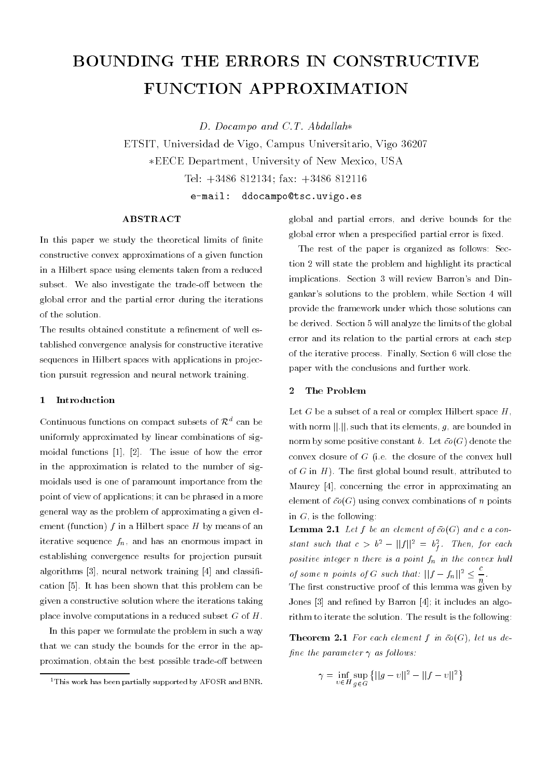## BOUNDING THE ERRORS IN CONSTRUCTIVE FUNCTION APPROXIMATION

D. Docampo and C.T. Abdallah\*

ETSIT Universidad de Vigo Campus Universitario Vigo - \*EECE Department, University of New Mexico, USA

> $e$ -mail: ddocampo@tsc.uvigo.es

Tel - -  fax - 

In this paper we study the theoretical limits of finite constructive convex approximations of a given function in a Hilbert space using elements taken from a reduced subset- we also investigate the tradeo between the the the global error and the partial error during the iterations of the solution.

The results obtained constitute a refinement of well established convergence analysis for constructive iterative sequences in Hilbert spaces with applications in projec tion pursuit regression and neural network training-

## Introduction

Continuous functions on compact subsets of  $\mathcal{R}^d$  can be uniformly approximated by linear combinations of sig moidal functions in the issue of how the issues of how the issues of how the error results in the error results of how the error  $\sim$ in the approximation is related to the number of sig moidals used is one of paramount importance from the point it view of applications and it can be phrased in a more c general way as the problem of approximating a given el ement (function)  $f$  in a Hilbert space  $H$  by means of an iterative sequence  $f_n$ , and has an enormous impact in establishing convergence results for projection pursuit algorithms  $[3]$ , neural network training  $[4]$  and classification is has been that the this problem problems the this problem that the canonical state of the capacity of given a constructive solution where the iterations taking place involve computations in a reduced subset  $G$  of  $H$ .

In this paper we formulate the problem in such a way that we can study the bounds for the error in the ap proximation, obtain the best possible trade-off between

global and partial errors, and derive bounds for the global error when a prespecified partial error is fixed.

The rest of the paper is organized as follows: Section 2 will state the problem and highlight its practical implications- Section 
 will review Barrons and Din gankar's solutions to the problem, while Section 4 will provide the framework under which those solutions can . Section will also the limits of the limit of the limits of the global control of the global control of the g error and its relation to the partial errors at each step of the finally process- finally section ( ) will close the section  $\sim$ paper with the conclusions and further work.

#### $\overline{2}$ The Problem

Let G be a subset of a real or complex Hilbert space  $H$ . with norm  $||.||$ , such that its elements, g, are bounded in norm by some positive constant the motion promote the convex closure of G jier and closure of and convex hull of G in 11 p. The meet grown sound result; attributed to Maurey [4], concerning the error in approximating an element of  $\bar{co}(G)$  using convex combinations of n points in  $G$ , is the following:

 $\blacksquare$  contract  $\blacksquare$  . If  $\sigma$  and contract of contract  $\sigma$  and  $\sigma$  and  $\sigma$ stant such that  $c > b^- = ||f||^* = b_f^*.$  Then, for each positive integer n there is a point fn in the convex hul l of some n points of G such that:  $||f - f_n||^2 < -1$ .  $n$ 

The rst constructive proof of this lemma was given by Jones 
 and rened by Barron it includes an algo rithm to iterate the solution- The result is the following

 $\blacksquare$  The  $\blacksquare$  is the contractive function for  $\Box$  in the use of  $\Box$ fine the parameter  $\gamma$  as follows:

$$
\gamma = \inf_{v \in H} \sup_{g \in G} \left\{ ||g - v||^2 - ||f - v||^2 \right\}
$$

<sup>&</sup>lt;sup>1</sup>This work has been partially supported by AFOSR and BNR.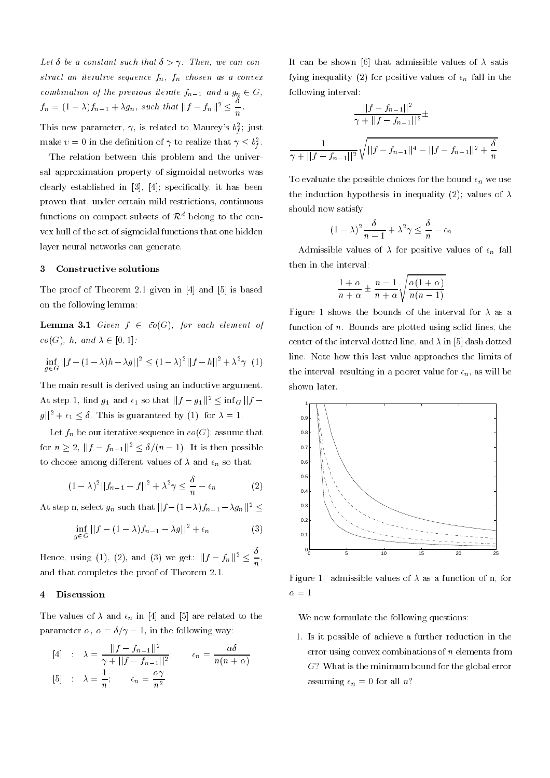$\mathbf{L}$  and we can construct that  $\mathbf{L}$  is the such we can contract the such that  $\mathbf{L}$ struct an iterative sequence fn fn chosen as a convex combination by the previous field  $g_n = 1$  and a  $g_n \in \mathcal{Q}_n$  $f_n = (1 - \lambda)f_{n-1} + \lambda g_n$ , such that  $||f - f_n||^2 \leq \overline{n}$ This new parameter,  $\gamma$ , is related to Maurey s  $\sigma_f$ ; just

make  $v = 0$  in the definition of  $\gamma$  to realize that  $\gamma \leq v_f^2$ . fThe relation between this problem and the univer sal approximation property of sigmoidal networks was clearly established in the clearly in the clearly in the clearly in the clearly in the clearly in the clearly in the clearly in the clearly in the clearly in the clearly in the clearly in the clearly in the clearly in the proven that, under certain mild restrictions, continuous functions on compact subsets of  $\mathcal{R}^d$  belong to the convex hull of the set of sigmoidal functions that one hidden layer neural networks can generate.

### Constructive solutions

The proof of Theorem in and is based on  $\mathcal{L}_1$  , the proof of Theorem in and is based on  $\mathcal{L}_2$ on the following lemma

**Lemma 3.1** Given  $f \in \overline{co}(G)$ , for each element of  $co(G)$ , h, and  $\lambda \in [0,1]$ :

$$
\inf_{g \in G} ||f - (1 - \lambda)h - \lambda g||^2 \le (1 - \lambda)^2 ||f - h||^2 + \lambda^2 \gamma \tag{1}
$$

The main result is derived using an inductive argument. At step 1, find  $g_1$  and  $\epsilon_1$  so that  $||f-g_1||^2 \leq \ln(g||f-g_1||^2)$  $g_{\parallel}$  +  $\epsilon_1$   $\leq$  0. This is guaranteed by (1), for  $\lambda = 1$ .

 $\mathbf{L}$  or  $\mathbf{u}_n$  be our iterative sequence in co $\mathbf{u}_n$ , assume that for  $n \geq 2$ ,  $||f-f_{n-1}||^2 \leq \theta/(n-1)$ . It is then possible to choose among different values of  $\alpha$  and  $\epsilon \eta$  so that

$$
(1 - \lambda)^2 ||f_{n-1} - f||^2 + \lambda^2 \gamma \le \frac{\delta}{n} - \epsilon_n \tag{2}
$$

At step n, select  $g_n$  such that  $||f - (1 - \lambda)f_{n-1} - \lambda g_n||^2 \le$ 

$$
\inf_{g \in G} ||f - (1 - \lambda)f_{n-1} - \lambda g||^2 + \epsilon_n \tag{3}
$$

Hence, using (1), (2), and (3) we get:  $||f - f_n||^2 < -1$ **The Common Service** and that completes the proof of Theorem  $\sim$ 

#### $\overline{4}$ Discussion

 $\mathbf{r}$  and  $\mathbf{r}$  and  $\mathbf{r}$  in  $\mathbf{r}$  and  $\mathbf{r}$  are related to the theory  $\mathcal{L}$  parameter  $\mathcal{L}$  is the following way.

$$
[4] \quad : \quad \lambda = \frac{||f - f_{n-1}||^2}{\gamma + ||f - f_{n-1}||^2}; \qquad \epsilon_n = \frac{\alpha \delta}{n(n+\alpha)}
$$
\n
$$
[5] \quad : \quad \lambda = \frac{1}{n}; \qquad \epsilon_n = \frac{\alpha \gamma}{n^2}
$$

It can be shown [6] that admissible values of  $\lambda$  satis $f$ , in the quality  $\left( -\right)$  for positive values of  $\eta$  fail in the following interval

$$
\frac{||f - f_{n-1}||^2}{\gamma + ||f - f_{n-1}||^2} \pm \frac{1}{\gamma + ||f - f_{n-1}||^2} \sqrt{||f - f_{n-1}||^4 - ||f - f_{n-1}||^2 + \frac{\delta}{n}}
$$

 $\mathbf{r}$  evaluate the possible choices for the bound  $\mathbf{r}_h$  we use  $\sum_{i=1}^n$  induction hypothesis in inequality  $\sum_{i=1}^n$  and  $\sum_{i=1}^n$ should now satisfy

$$
(1 - \lambda)^2 \frac{\delta}{n - 1} + \lambda^2 \gamma \le \frac{\delta}{n} - \epsilon_n
$$

Admissible values of for positive values of n fall then in the interval

$$
\frac{1+\alpha}{n+\alpha} \pm \frac{n-1}{n+\alpha} \sqrt{\frac{\alpha(1+\alpha)}{n(n-1)}}
$$

Figure 1 shows the bounds of the interval for  $\lambda$  as a function of n- Bounds are plotted using solid lines the center of the interval dotted line, and  $\lambda$  in [5] dash dotted line- Note how this last value approaches the limits of the interval, resulting in a poorer value for  $\epsilon_n$ , as will be shown later.



Figure 1: admissible values of  $\lambda$  as a function of n, for 

We now formulate the following questions:

- Is it possible of achieve a further reduction in the error using convex combinations of <sup>n</sup> elements from  $G$ ? What is the minimum bound for the global error  $\alpha$ ssuming  $\alpha$ <sub>l</sub>  $\beta$  is all  $\beta$ .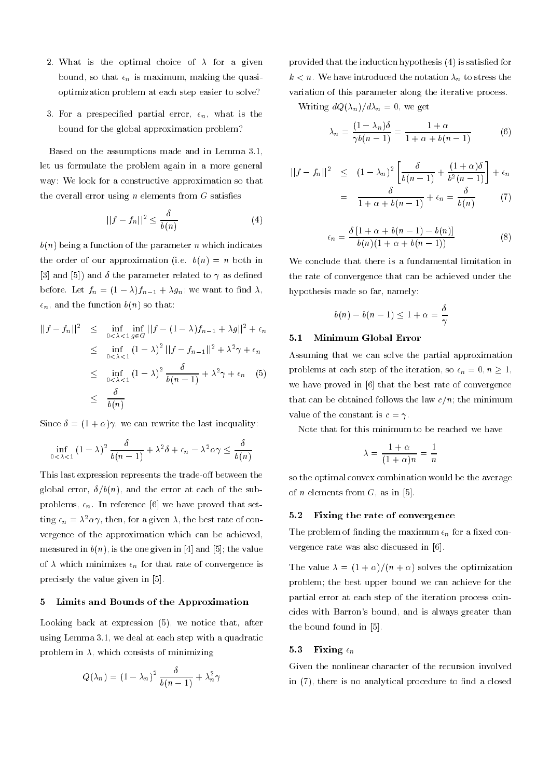- $\cdots$  is the optimal choice of  $\cdots$  as given a  $\beta$  so that  $\gamma$  is making making the quasioptimization problem at each step easier to solve
- For a prespecied partial error n what is the bound for the global approximation problem

Based on the assumptions made and in Lemma 
 let us formulate the problem again in a more general way: We look for a constructive approximation so that the overall error using  $n$  elements from  $G$  satisfies

$$
||f - f_n||^2 \le \frac{\delta}{b(n)}\tag{4}
$$

 $b(n)$  being a function of the parameter n which indicates  $\sum_{i=1}^n$  or our approximation  $\sum_{i=1}^n$  if  $\sum_{i=1}^n$ [3] and [5]) and  $\delta$  the parameter related to  $\gamma$  as defined before  $\mathbf{u} = \mathbf{u} \cdot \mathbf{v}$  ,  $\mathbf{v} = \mathbf{u} \cdot \mathbf{v}$  , we want to make  $\mathbf{u}$  $\epsilon_n$ , and the function  $b(n)$  so that:

$$
||f - f_n||^2 \leq \inf_{0 < \lambda < 1} \inf_{g \in G} ||f - (1 - \lambda)f_{n-1} + \lambda g||^2 + \epsilon_n
$$
  
\n
$$
\leq \inf_{0 < \lambda < 1} (1 - \lambda)^2 ||f - f_{n-1}||^2 + \lambda^2 \gamma + \epsilon_n
$$
  
\n
$$
\leq \inf_{0 < \lambda < 1} (1 - \lambda)^2 \frac{\delta}{b(n-1)} + \lambda^2 \gamma + \epsilon_n \quad (5)
$$
  
\n
$$
\leq \frac{\delta}{b(n)}
$$

 $\mathcal{L}$  integrate the last integral contribution of  $\mathcal{L}$  integrating integrating the last integrating integrating the last integrating integrating integrating integrating integrating integrating integrating integrati

$$
\inf_{0 < \lambda < 1} (1 - \lambda)^2 \frac{\delta}{b(n-1)} + \lambda^2 \delta + \epsilon_n - \lambda^2 \alpha \gamma \le \frac{\delta}{b(n)}
$$

This last expression represents the trade-off between the global error,  $\delta/b(n)$ , and the error at each of the subproblems, spr materials is no material proved that set ting  $\epsilon_n = \lambda^- \alpha \gamma$ , then, for a given  $\lambda$ , the best rate of convergence of the approximation which can be achieved measured in bibliographic and the second in the second interest of the control of the second in the second in the second in the second in the second in the second in the second in the second in the second in the second in  $\alpha$  , which minimizes  $\epsilon$ <sub>*n*</sub> for that rate of convergence is precisely the value given in  $[5]$ .

### Limits and Bounds of the Approximation 5

Looking back at expression  $(5)$ , we notice that, after using Lemma 
- we deal at each step with a quadratic problem in  $\lambda$ , which consists of minimizing

$$
Q(\lambda_n) = (1 - \lambda_n)^2 \frac{\delta}{b(n-1)} + \lambda_n^2 \gamma
$$

provided that the induction hypothesis (4) is satisfied for  $\kappa$  , we have introduced the notation  $\eta_l$  to stress the set variation of this parameter along the iterative process-

 $\mathcal{L}$  . The distribution of  $\mathcal{L}$  and  $\mathcal{L}$ 

$$
\lambda_n = \frac{(1 - \lambda_n)\delta}{\gamma b(n-1)} = \frac{1 + \alpha}{1 + \alpha + b(n-1)}\tag{6}
$$

$$
||f - f_n||^2 \le (1 - \lambda_n)^2 \left[ \frac{\delta}{b(n-1)} + \frac{(1+\alpha)\delta}{b^2(n-1)} \right] + \epsilon_n
$$
  
= 
$$
\frac{\delta}{1+\alpha+b(n-1)} + \epsilon_n = \frac{\delta}{b(n)} \qquad (7)
$$

$$
\epsilon_n = \frac{\delta \left[1 + \alpha + b(n-1) - b(n)\right]}{b(n)\left(1 + \alpha + b(n-1)\right)}\tag{8}
$$

We conclude that there is a fundamental limitation in the rate of convergence that can be achieved under the hypothesis made so far, namely:

$$
b(n) - b(n-1) \le 1 + \alpha = \frac{\delta}{\gamma}
$$

## Minimum Global Error

Assuming that we can solve the partial approximation problems at each step of the field from, so  $c_n = 0, n \geq 1$ , we have proved in [6] that the best rate of convergence  $t$  and can be obtained follows the law  $t$  of  $\theta$  ,  $\theta$  and inimimum value of the constant is  $c = \gamma$ .

Note that for this minimum to be reached we have

$$
\lambda = \frac{1+\alpha}{(1+\alpha)n} = \frac{1}{n}
$$

so the optimal convex combination would be the average of *n* elements from  $G$ , as in [5].

#### $5.2$ Fixing the rate of convergence

 $\mathbf{r}_\mathbf{n}$  and  $\mathbf{r}_\mathbf{n}$  and  $\mathbf{r}_\mathbf{n}$  and  $\mathbf{r}_\mathbf{n}$  and  $\mathbf{r}_\mathbf{n}$  are a set constants of  $\mathbf{r}_\mathbf{n}$ vergence rate was also discussed in  $[6]$ .

 $\mathbf{r}$  and vector  $\mathbf{r}$  is a solven optimization that  $\mathbf{r}$ problem the bound we perform the bound we can achieve for the form partial error at each step of the iteration process coin cides with Barron's bound, and is always greater than the bound found in  $[5]$ .

## 5.3 Fixing  $\epsilon_n$

Given the nonlinear character of the recursion involved in  $(7)$ , there is no analytical procedure to find a closed